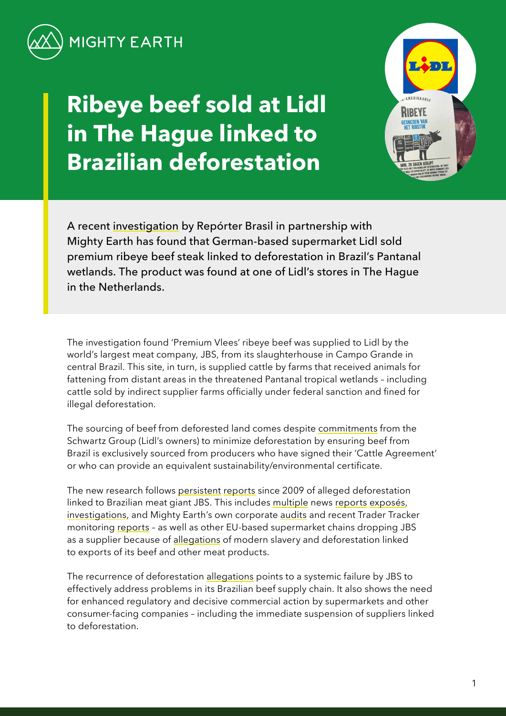

# **Ribeye beef sold at Lidl in The Hague linked to Brazilian deforestation**



A recent [investigation](https://reporterbrasil.org.br/wp-content/uploads/2021/12/Monitor-12-EN-FINAL.pdf) by Repórter Brasil in partnership with Mighty Earth has found that German-based supermarket Lidl sold premium ribeye beef steak linked to deforestation in Brazil's Pantanal wetlands. The product was found at one of Lidl's stores in The Hague in the Netherlands.

The investigation found 'Premium Vlees' ribeye beef was supplied to Lidl by the world's largest meat company, JBS, from its slaughterhouse in Campo Grande in central Brazil. This site, in turn, is supplied cattle by farms that received animals for fattening from distant areas in the threatened Pantanal tropical wetlands – including cattle sold by indirect supplier farms officially under federal sanction and fined for illegal deforestation.

The sourcing of beef from deforested land comes despite [commitments](https://forest500.org/rankings/companies/schwarz-group) from the Schwartz Group (Lidl's owners) to minimize deforestation by ensuring beef from Brazil is exclusively sourced from producers who have signed their 'Cattle Agreement' or who can provide an equivalent sustainability/environmental certificate.

The new research follows [persistent](https://www.greenpeace.org/usa/wp-content/uploads/legacy/Global/usa/planet3/PDFs/slaughtering-the-amazon-part-1.pdf) [reports](https://www.greenpeace.org.uk/wp-content/uploads/2020/08/Greenpeace_StillSlaughtering_Spreads.pdf) since 2009 of alleged deforestation linked to Brazilian meat giant JBS. This includes [multiple](https://www.globalwitness.org/en/campaigns/forests/beef-banks-and-brazilian-amazon/) news [reports](https://www.independent.co.uk/climate-change/news/tesco-meat-jbs-amazon-deforestation-b1888545.html) [exposés,](https://www.earthsight.org.uk/news/idm/brazil-corned-beef-jbs-uk-supermarkets-deforestation-amazon) [investigations,](https://www.greenpeace.org/static/planet4-international-stateless/2021/03/77f3941a-0988_gp_pan_mincemeat_v9.95_mixedres.pdf) and Mighty Earth's own corporate [audits](https://stories.mightyearth.org/2021-beef-deforestation-scorecard/) and recent Trader Tracker monitoring [reports](https://www.mightyearth.org/soy-and-cattle-tracker/) – as well as other EU-based supermarket chains dropping JBS as a supplier because of [allegations](https://www.theguardian.com/global-development/2017/jun/06/waitrose-pulls-its-corned-beef-off-shelves-after-guardian-reveals-alleged-slavery-links-brazil) of modern slavery and deforestation linked to exports of its beef and other meat products.

The recurrence of deforestation [allegations](https://www.amnesty.org/en/wp-content/uploads/2021/05/AMR1926572020ENGLISH.pdf) points to a systemic failure by JBS to effectively address problems in its Brazilian beef supply chain. It also shows the need for enhanced regulatory and decisive commercial action by supermarkets and other consumer-facing companies – including the immediate suspension of suppliers linked to deforestation.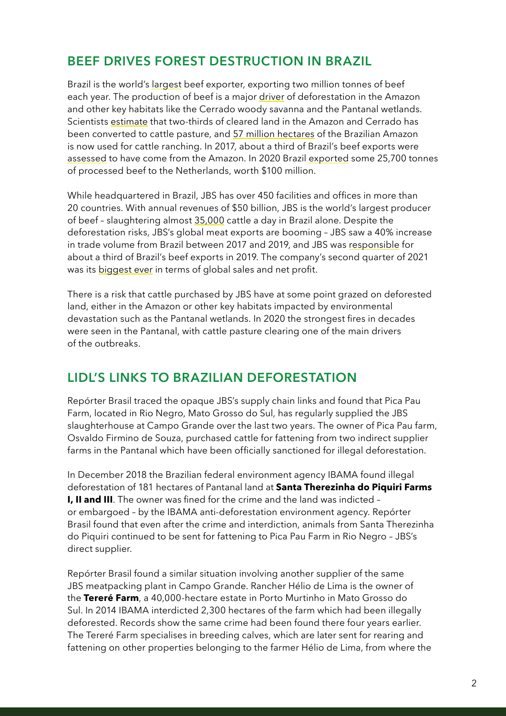### **BEEF DRIVES FOREST DESTRUCTION IN BRAZIL**

Brazil is the world's [largest](http://resources.trase.earth/documents/zuErmgassen-et-al._2020_PNAS.pdf) beef exporter, exporting two million tonnes of beef each year. The production of beef is a major [driver](https://www.pnas.org/content/117/50/31770) of deforestation in the Amazon and other key habitats like the Cerrado woody savanna and the Pantanal wetlands. Scientists [estimate](http://resources.trase.earth/documents/zuErmgassen-et-al._2020_PNAS.pdf) that two-thirds of cleared land in the Amazon and Cerrado has been converted to cattle pasture, and [57 million hectares](https://mapbiomas-br-site.s3.amazonaws.com/Infograficos/Cole%C3%A7%C3%A3o6/MBI-Infografico-6.0-PTBR-amazonia.jpg) of the Brazilian Amazon is now used for cattle ranching. In 2017, about a third of Brazil's beef exports were [assessed](https://www.greenpeace.org.uk/wp-content/uploads/2020/08/Greenpeace_StillSlaughtering_Spreads.pdf) to have come from the Amazon. In 2020 Brazil [exported](https://comtrade.un.org/data/) some 25,700 tonnes of processed beef to the Netherlands, worth \$100 million.

While headquartered in Brazil, JBS has over 450 facilities and offices in more than 20 countries. With annual revenues of \$50 billion, JBS is the world's largest producer of beef – slaughtering almost [35,000](https://api.mziq.com/mzfilemanager/v2/d/043a77e1-0127-4502-bc5b-21427b991b22/538783c9-1d5e-953e-ba35-28f17db11226?origin=2) cattle a day in Brazil alone. Despite the deforestation risks, JBS's global meat exports are booming – JBS saw a 40% increase in trade volume from Brazil between 2017 and 2019, and JBS was [responsible](https://www.greenpeace.org.uk/wp-content/uploads/2020/08/Greenpeace_StillSlaughtering_Spreads.pdf) for about a third of Brazil's beef exports in 2019. The company's second quarter of 2021 was its [biggest ever](https://finance.yahoo.com/news/1-brazils-jbs-posts-strong-224226804.html?guccounter=1&guce_referrer=aHR0cHM6Ly93d3cuaWF0cC5vcmcv&guce_referrer_sig=AQAAABdT93lLY91R8SPKPay05KR4mWmDZRorEW5mKwK2W2egIQNszFN1d1JRO4PaeB3YurXqajstvyRoxzxpu_kySvLy4Oh20Vc74FgmYWxJyp8NRTHzcvMMfZoLYQClpq7LkLCygtv6PZE_saMcBaCeG6Tn7Cd5KN7xAgnrh_HgUNUB) in terms of global sales and net profit.

There is a risk that cattle purchased by JBS have at some point grazed on deforested land, either in the Amazon or other key habitats impacted by environmental devastation such as the Pantanal wetlands. In 2020 the strongest fires in decades were seen in the Pantanal, with cattle pasture clearing one of the main drivers of the outbreaks.

## **LIDL'S LINKS TO BRAZILIAN DEFORESTATION**

Repórter Brasil traced the opaque JBS's supply chain links and found that Pica Pau Farm, located in Rio Negro, Mato Grosso do Sul, has regularly supplied the JBS slaughterhouse at Campo Grande over the last two years. The owner of Pica Pau farm, Osvaldo Firmino de Souza, purchased cattle for fattening from two indirect supplier farms in the Pantanal which have been officially sanctioned for illegal deforestation.

In December 2018 the Brazilian federal environment agency IBAMA found illegal deforestation of 181 hectares of Pantanal land at **Santa Therezinha do Piquiri Farms I, II and III**. The owner was fined for the crime and the land was indicted – or embargoed – by the IBAMA anti-deforestation environment agency. Repórter Brasil found that even after the crime and interdiction, animals from Santa Therezinha do Piquiri continued to be sent for fattening to Pica Pau Farm in Rio Negro – JBS's direct supplier.

Repórter Brasil found a similar situation involving another supplier of the same JBS meatpacking plant in Campo Grande. Rancher Hélio de Lima is the owner of the **Tereré Farm**, a 40,000-hectare estate in Porto Murtinho in Mato Grosso do Sul. In 2014 IBAMA interdicted 2,300 hectares of the farm which had been illegally deforested. Records show the same crime had been found there four years earlier. The Tereré Farm specialises in breeding calves, which are later sent for rearing and fattening on other properties belonging to the farmer Hélio de Lima, from where the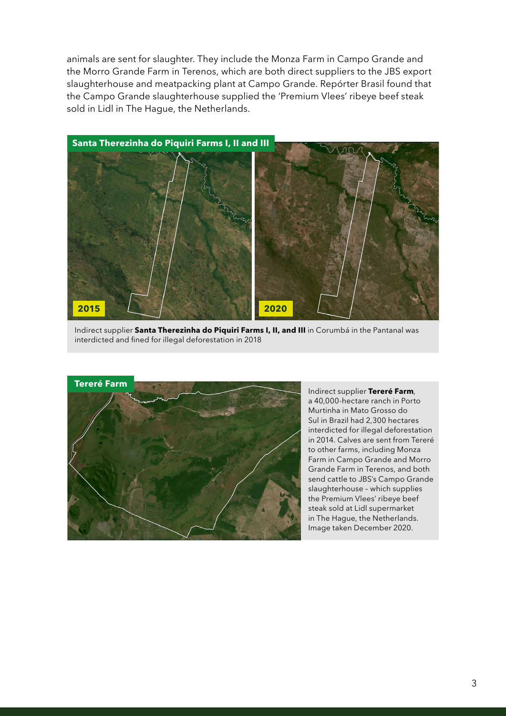animals are sent for slaughter. They include the Monza Farm in Campo Grande and the Morro Grande Farm in Terenos, which are both direct suppliers to the JBS export slaughterhouse and meatpacking plant at Campo Grande. Repórter Brasil found that the Campo Grande slaughterhouse supplied the 'Premium Vlees' ribeye beef steak sold in Lidl in The Hague, the Netherlands.



Indirect supplier **Santa Therezinha do Piquiri Farms I, II, and III** in Corumbá in the Pantanal was interdicted and fined for illegal deforestation in 2018



Indirect supplier **Tereré Farm**, a 40,000-hectare ranch in Porto Murtinha in Mato Grosso do Sul in Brazil had 2,300 hectares interdicted for illegal deforestation in 2014. Calves are sent from Tereré to other farms, including Monza Farm in Campo Grande and Morro Grande Farm in Terenos, and both send cattle to JBS's Campo Grande slaughterhouse – which supplies the Premium Vlees' ribeye beef steak sold at Lidl supermarket in The Hague, the Netherlands. Image taken December 2020.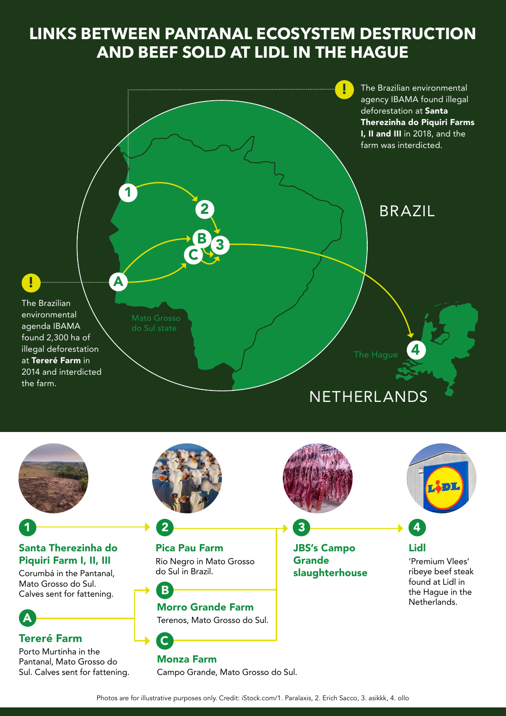# **LINKS BETWEEN PANTANAL ECOSYSTEM DESTRUCTION AND BEEF SOLD AT LIDL IN THE HAGUE**

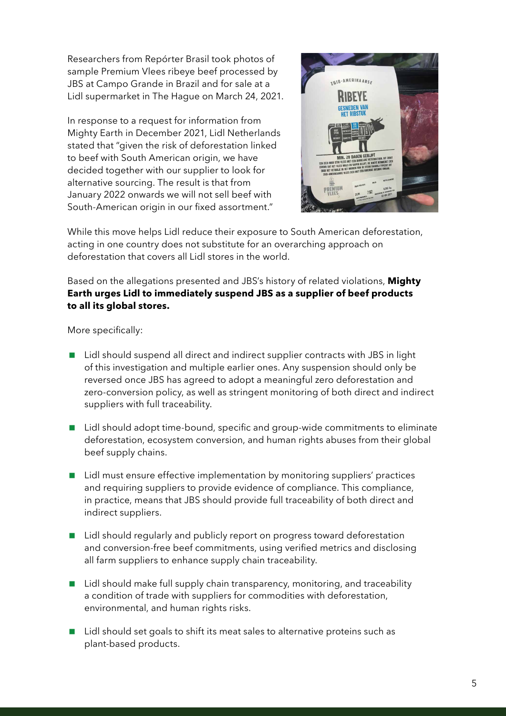Researchers from Repórter Brasil took photos of sample Premium Vlees ribeye beef processed by JBS at Campo Grande in Brazil and for sale at a Lidl supermarket in The Hague on March 24, 2021.

In response to a request for information from Mighty Earth in December 2021, Lidl Netherlands stated that "given the risk of deforestation linked to beef with South American origin, we have decided together with our supplier to look for alternative sourcing. The result is that from January 2022 onwards we will not sell beef with South-American origin in our fixed assortment."



While this move helps Lidl reduce their exposure to South American deforestation, acting in one country does not substitute for an overarching approach on deforestation that covers all Lidl stores in the world.

Based on the allegations presented and JBS's history of related violations, **Mighty Earth urges Lidl to immediately suspend JBS as a supplier of beef products to all its global stores.** 

More specifically:

- Lidl should suspend all direct and indirect supplier contracts with JBS in light of this investigation and multiple earlier ones. Any suspension should only be reversed once JBS has agreed to adopt a meaningful zero deforestation and zero-conversion policy, as well as stringent monitoring of both direct and indirect suppliers with full traceability.
- Lidl should adopt time-bound, specific and group-wide commitments to eliminate deforestation, ecosystem conversion, and human rights abuses from their global beef supply chains.
- Lidl must ensure effective implementation by monitoring suppliers' practices and requiring suppliers to provide evidence of compliance. This compliance, in practice, means that JBS should provide full traceability of both direct and indirect suppliers.
- Lidl should regularly and publicly report on progress toward deforestation and conversion-free beef commitments, using verified metrics and disclosing all farm suppliers to enhance supply chain traceability.
- Lidl should make full supply chain transparency, monitoring, and traceability a condition of trade with suppliers for commodities with deforestation, environmental, and human rights risks.
- Lidl should set goals to shift its meat sales to alternative proteins such as plant-based products.